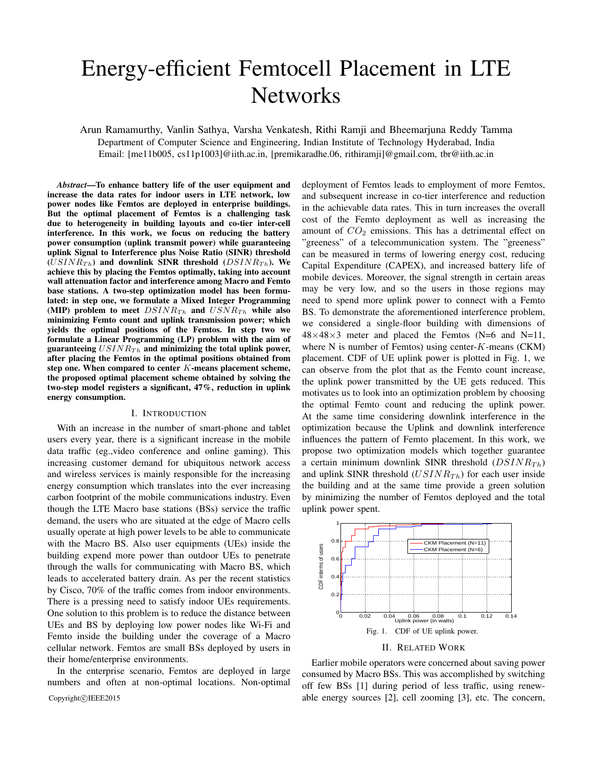# Energy-efficient Femtocell Placement in LTE **Networks**

Arun Ramamurthy, Vanlin Sathya, Varsha Venkatesh, Rithi Ramji and Bheemarjuna Reddy Tamma Department of Computer Science and Engineering, Indian Institute of Technology Hyderabad, India Email: [me11b005, cs11p1003]@iith.ac.in, [premikaradhe.06, rithiramji]@gmail.com, tbr@iith.ac.in

*Abstract*—To enhance battery life of the user equipment and increase the data rates for indoor users in LTE network, low power nodes like Femtos are deployed in enterprise buildings. But the optimal placement of Femtos is a challenging task due to heterogeneity in building layouts and co-tier inter-cell interference. In this work, we focus on reducing the battery power consumption (uplink transmit power) while guaranteeing uplink Signal to Interference plus Noise Ratio (SINR) threshold  $(USINR_{Th})$  and downlink SINR threshold  $(DSINR_{Th})$ . We achieve this by placing the Femtos optimally, taking into account wall attenuation factor and interference among Macro and Femto base stations. A two-step optimization model has been formulated: in step one, we formulate a Mixed Integer Programming (MIP) problem to meet  $DSINR_{Th}$  and  $USNR_{Th}$  while also minimizing Femto count and uplink transmission power; which yields the optimal positions of the Femtos. In step two we formulate a Linear Programming (LP) problem with the aim of guaranteeing  $USINR_{Th}$  and minimizing the total uplink power, after placing the Femtos in the optimal positions obtained from step one. When compared to center K-means placement scheme, the proposed optimal placement scheme obtained by solving the two-step model registers a significant, 47%, reduction in uplink energy consumption.

## I. INTRODUCTION

With an increase in the number of smart-phone and tablet users every year, there is a significant increase in the mobile data traffic (eg.,video conference and online gaming). This increasing customer demand for ubiquitous network access and wireless services is mainly responsible for the increasing energy consumption which translates into the ever increasing carbon footprint of the mobile communications industry. Even though the LTE Macro base stations (BSs) service the traffic demand, the users who are situated at the edge of Macro cells usually operate at high power levels to be able to communicate with the Macro BS. Also user equipments (UEs) inside the building expend more power than outdoor UEs to penetrate through the walls for communicating with Macro BS, which leads to accelerated battery drain. As per the recent statistics by Cisco, 70% of the traffic comes from indoor environments. There is a pressing need to satisfy indoor UEs requirements. One solution to this problem is to reduce the distance between UEs and BS by deploying low power nodes like Wi-Fi and Femto inside the building under the coverage of a Macro cellular network. Femtos are small BSs deployed by users in their home/enterprise environments.

In the enterprise scenario, Femtos are deployed in large numbers and often at non-optimal locations. Non-optimal deployment of Femtos leads to employment of more Femtos, and subsequent increase in co-tier interference and reduction in the achievable data rates. This in turn increases the overall cost of the Femto deployment as well as increasing the amount of  $CO<sub>2</sub>$  emissions. This has a detrimental effect on "greeness" of a telecommunication system. The "greeness" can be measured in terms of lowering energy cost, reducing Capital Expenditure (CAPEX), and increased battery life of mobile devices. Moreover, the signal strength in certain areas may be very low, and so the users in those regions may need to spend more uplink power to connect with a Femto BS. To demonstrate the aforementioned interference problem, we considered a single-floor building with dimensions of  $48\times48\times3$  meter and placed the Femtos (N=6 and N=11, where N is number of Femtos) using center- $K$ -means (CKM) placement. CDF of UE uplink power is plotted in Fig. 1, we can observe from the plot that as the Femto count increase, the uplink power transmitted by the UE gets reduced. This motivates us to look into an optimization problem by choosing the optimal Femto count and reducing the uplink power. At the same time considering downlink interference in the optimization because the Uplink and downlink interference influences the pattern of Femto placement. In this work, we propose two optimization models which together guarantee a certain minimum downlink SINR threshold  $(DSINR_{Th})$ and uplink SINR threshold  $(USINR<sub>Th</sub>)$  for each user inside the building and at the same time provide a green solution by minimizing the number of Femtos deployed and the total uplink power spent.



#### II. RELATED WORK

Earlier mobile operators were concerned about saving power consumed by Macro BSs. This was accomplished by switching off few BSs [1] during period of less traffic, using renew-Copyright©IEEE2015 able energy sources [2], cell zooming [3], etc. The concern,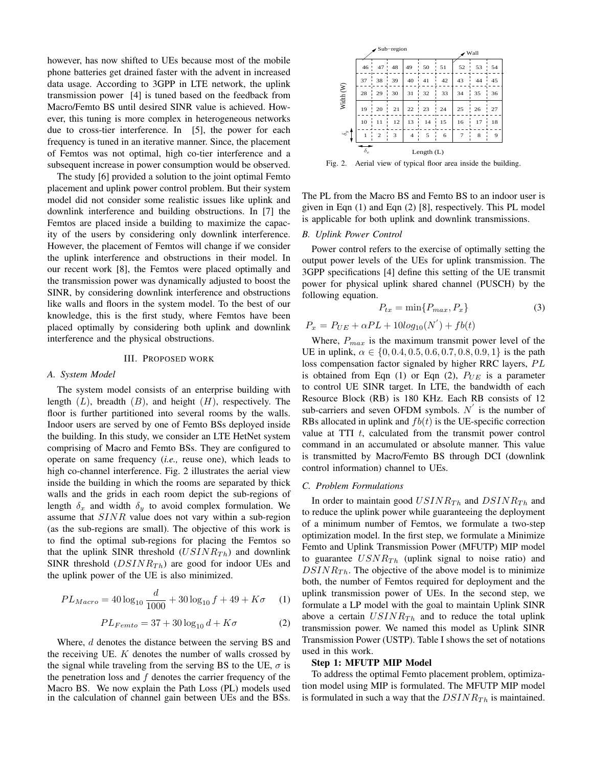however, has now shifted to UEs because most of the mobile phone batteries get drained faster with the advent in increased data usage. According to 3GPP in LTE network, the uplink transmission power [4] is tuned based on the feedback from Macro/Femto BS until desired SINR value is achieved. However, this tuning is more complex in heterogeneous networks due to cross-tier interference. In [5], the power for each frequency is tuned in an iterative manner. Since, the placement of Femtos was not optimal, high co-tier interference and a subsequent increase in power consumption would be observed.

The study [6] provided a solution to the joint optimal Femto placement and uplink power control problem. But their system model did not consider some realistic issues like uplink and downlink interference and building obstructions. In [7] the Femtos are placed inside a building to maximize the capacity of the users by considering only downlink interference. However, the placement of Femtos will change if we consider the uplink interference and obstructions in their model. In our recent work [8], the Femtos were placed optimally and the transmission power was dynamically adjusted to boost the SINR, by considering downlink interference and obstructions like walls and floors in the system model. To the best of our knowledge, this is the first study, where Femtos have been placed optimally by considering both uplink and downlink interference and the physical obstructions.

## III. PROPOSED WORK

#### *A. System Model*

The system model consists of an enterprise building with length  $(L)$ , breadth  $(B)$ , and height  $(H)$ , respectively. The floor is further partitioned into several rooms by the walls. Indoor users are served by one of Femto BSs deployed inside the building. In this study, we consider an LTE HetNet system comprising of Macro and Femto BSs. They are configured to operate on same frequency (*i.e.,* reuse one), which leads to high co-channel interference. Fig. 2 illustrates the aerial view inside the building in which the rooms are separated by thick walls and the grids in each room depict the sub-regions of length  $\delta_x$  and width  $\delta_y$  to avoid complex formulation. We assume that SINR value does not vary within a sub-region (as the sub-regions are small). The objective of this work is to find the optimal sub-regions for placing the Femtos so that the uplink SINR threshold  $(USINR<sub>Th</sub>)$  and downlink SINR threshold  $(DSINR_{Th})$  are good for indoor UEs and the uplink power of the UE is also minimized.

$$
PL_{Macco} = 40 \log_{10} \frac{d}{1000} + 30 \log_{10} f + 49 + K\sigma \qquad (1)
$$

$$
PL_{Femto} = 37 + 30\log_{10} d + K\sigma
$$
 (2)

Where, d denotes the distance between the serving BS and the receiving UE.  $K$  denotes the number of walls crossed by the signal while traveling from the serving BS to the UE,  $\sigma$  is the penetration loss and  $f$  denotes the carrier frequency of the Macro BS. We now explain the Path Loss (PL) models used in the calculation of channel gain between UEs and the BSs.



Fig. 2. Aerial view of typical floor area inside the building.

The PL from the Macro BS and Femto BS to an indoor user is given in Eqn (1) and Eqn (2) [8], respectively. This PL model is applicable for both uplink and downlink transmissions.

## *B. Uplink Power Control*

Power control refers to the exercise of optimally setting the output power levels of the UEs for uplink transmission. The 3GPP specifications [4] define this setting of the UE transmit power for physical uplink shared channel (PUSCH) by the following equation.

$$
P_{tx} = \min\{P_{max}, P_x\} \tag{3}
$$

$$
P_x = P_{UE} + \alpha PL + 10log_{10}(N^{'}) + fb(t)
$$

Where,  $P_{max}$  is the maximum transmit power level of the UE in uplink,  $\alpha \in \{0, 0.4, 0.5, 0.6, 0.7, 0.8, 0.9, 1\}$  is the path loss compensation factor signaled by higher RRC layers, PL is obtained from Eqn (1) or Eqn (2),  $P_{UE}$  is a parameter to control UE SINR target. In LTE, the bandwidth of each Resource Block (RB) is 180 KHz. Each RB consists of 12 sub-carriers and seven OFDM symbols.  $N'$  is the number of RBs allocated in uplink and  $fb(t)$  is the UE-specific correction value at TTI  $t$ , calculated from the transmit power control command in an accumulated or absolute manner. This value is transmitted by Macro/Femto BS through DCI (downlink control information) channel to UEs.

## *C. Problem Formulations*

In order to maintain good  $USINR_{Th}$  and  $DSINR_{Th}$  and to reduce the uplink power while guaranteeing the deployment of a minimum number of Femtos, we formulate a two-step optimization model. In the first step, we formulate a Minimize Femto and Uplink Transmission Power (MFUTP) MIP model to guarantee  $USNR_{Th}$  (uplink signal to noise ratio) and  $DSINR_{Th}$ . The objective of the above model is to minimize both, the number of Femtos required for deployment and the uplink transmission power of UEs. In the second step, we formulate a LP model with the goal to maintain Uplink SINR above a certain  $USINR_{Th}$  and to reduce the total uplink transmission power. We named this model as Uplink SINR Transmission Power (USTP). Table I shows the set of notations used in this work.

#### Step 1: MFUTP MIP Model

To address the optimal Femto placement problem, optimization model using MIP is formulated. The MFUTP MIP model is formulated in such a way that the  $DSINR_{Th}$  is maintained.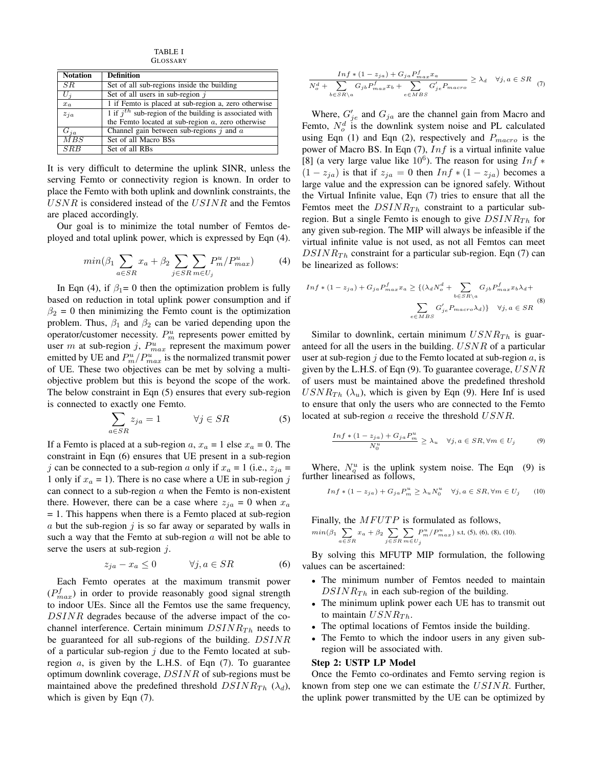TABLE I GLOSSARY

| <b>Notation</b>  | <b>Definition</b>                                                     |
|------------------|-----------------------------------------------------------------------|
| SR               | Set of all sub-regions inside the building                            |
| $U_i$            | Set of all users in sub-region $i$                                    |
| $x_a$            | 1 if Femto is placed at sub-region a, zero otherwise                  |
| $z_{ja}$         | $\overline{1}$ if $jth$ sub-region of the building is associated with |
|                  | the Femto located at sub-region $a$ , zero otherwise                  |
| $G_{ia}$         | Channel gain between sub-regions $j$ and $a$                          |
| $\overline{MBS}$ | Set of all Macro BSs                                                  |
| <b>SRB</b>       | Set of all RBs                                                        |

It is very difficult to determine the uplink SINR, unless the serving Femto or connectivity region is known. In order to place the Femto with both uplink and downlink constraints, the  $USNR$  is considered instead of the  $USINR$  and the Femtos are placed accordingly.

Our goal is to minimize the total number of Femtos deployed and total uplink power, which is expressed by Eqn (4).

$$
min(\beta_1 \sum_{a \in SR} x_a + \beta_2 \sum_{j \in SR} \sum_{m \in U_j} P_m^u / P_{max}^u)
$$
 (4)

In Eqn (4), if  $\beta_1 = 0$  then the optimization problem is fully based on reduction in total uplink power consumption and if  $\beta_2 = 0$  then minimizing the Femto count is the optimization problem. Thus,  $\beta_1$  and  $\beta_2$  can be varied depending upon the operator/customer necessity.  $P_m^u$  represents power emitted by user m at sub-region j,  $P_{max}^u$  represent the maximum power emitted by UE and  $P_m^u/P_{max}^u$  is the normalized transmit power of UE. These two objectives can be met by solving a multiobjective problem but this is beyond the scope of the work. The below constraint in Eqn (5) ensures that every sub-region is connected to exactly one Femto.

$$
\sum_{a \in SR} z_{ja} = 1 \qquad \forall j \in SR \tag{5}
$$

If a Femto is placed at a sub-region  $a, x_a = 1$  else  $x_a = 0$ . The constraint in Eqn (6) ensures that UE present in a sub-region j can be connected to a sub-region a only if  $x_a = 1$  (i.e.,  $z_{ja} =$ 1 only if  $x_a = 1$ ). There is no case where a UE in sub-region j can connect to a sub-region  $a$  when the Femto is non-existent there. However, there can be a case where  $z_{ja} = 0$  when  $x_a$ = 1. This happens when there is a Femto placed at sub-region  $\alpha$  but the sub-region  $j$  is so far away or separated by walls in such a way that the Femto at sub-region  $a$  will not be able to serve the users at sub-region  $j$ .

$$
z_{ja} - x_a \le 0 \qquad \forall j, a \in SR \tag{6}
$$

Each Femto operates at the maximum transmit power  $(P_{max}^f)$  in order to provide reasonably good signal strength to indoor UEs. Since all the Femtos use the same frequency, DSINR degrades because of the adverse impact of the cochannel interference. Certain minimum  $DSINR_{Th}$  needs to be guaranteed for all sub-regions of the building. DSINR of a particular sub-region  $j$  due to the Femto located at subregion  $a$ , is given by the L.H.S. of Eqn  $(7)$ . To guarantee optimum downlink coverage, DSINR of sub-regions must be maintained above the predefined threshold  $DSINR_{Th}$  ( $\lambda_d$ ), which is given by Eqn (7).

$$
\frac{Inf * (1 - z_{ja}) + G_{ja}P_{max}^f x_a}{N_o^d + \sum_{b \in SR \backslash a} G_{jb}P_{max}^f x_b + \sum_{e \in MBS} G'_{je}P_{macro}} \ge \lambda_d \quad \forall j, a \in SR \quad (7)
$$

Where,  $G'_{je}$  and  $G_{ja}$  are the channel gain from Macro and Femto,  $N_o^d$  is the downlink system noise and PL calculated using Eqn (1) and Eqn (2), respectively and  $P_{macro}$  is the power of Macro BS. In Eqn  $(7)$ ,  $Inf$  is a virtual infinite value [8] (a very large value like  $10^6$ ). The reason for using  $Inf$  \*  $(1 - z_{ia})$  is that if  $z_{ia} = 0$  then  $Inf * (1 - z_{ia})$  becomes a large value and the expression can be ignored safely. Without the Virtual Infinite value, Eqn (7) tries to ensure that all the Femtos meet the  $DSINR_{Th}$  constraint to a particular subregion. But a single Femto is enough to give  $DSINR_{Th}$  for any given sub-region. The MIP will always be infeasible if the virtual infinite value is not used, as not all Femtos can meet  $DSINR<sub>Th</sub>$  constraint for a particular sub-region. Eqn (7) can be linearized as follows:

$$
Inf * (1 - z_{ja}) + G_{ja}P_{max}^f x_a \geq \{ (\lambda_d N_o^d + \sum_{b \in SR \setminus a} G_{jb}P_{max}^f x_b \lambda_d + \sum_{e \in MBS} G'_{je}P_{macro} \lambda_d) \} \quad \forall j, a \in SR
$$
 (8)

Similar to downlink, certain minimum  $USNR_{Th}$  is guaranteed for all the users in the building. USNR of a particular user at sub-region  $i$  due to the Femto located at sub-region  $a$ , is given by the L.H.S. of Eqn  $(9)$ . To guarantee coverage,  $USNR$ of users must be maintained above the predefined threshold  $USNR_{Th}$  ( $\lambda_u$ ), which is given by Eqn (9). Here Inf is used to ensure that only the users who are connected to the Femto located at sub-region a receive the threshold USNR.

$$
\frac{\operatorname{Inf} * (1 - z_{ja}) + G_{ja} P_m^u}{N_0^u} \ge \lambda_u \quad \forall j, a \in SR, \forall m \in U_j \tag{9}
$$

Where,  $N_q^u$  is the uplink system noise. The Eqn (9) is further linearised as follows,

$$
Inf * (1 - z_{ja}) + G_{ja} P_m^u \ge \lambda_u N_0^u \quad \forall j, a \in SR, \forall m \in U_j \qquad (10)
$$

Finally, the  $MFUTP$  is formulated as follows,  $min(\beta_1 \sum$  $\sum_{a \in SR} x_a + \beta_2 \sum_{j \in SI}$ j∈SR  $\sum$  $m \in U_j$  $P_m^u/P_{max}^u$ ) s.t, (5), (6), (8), (10).

By solving this MFUTP MIP formulation, the following values can be ascertained:

- The minimum number of Femtos needed to maintain  $DSINR_{Th}$  in each sub-region of the building.
- The minimum uplink power each UE has to transmit out to maintain  $USNR_{Th}$ .
- The optimal locations of Femtos inside the building.
- The Femto to which the indoor users in any given subregion will be associated with.

# Step 2: USTP LP Model

Once the Femto co-ordinates and Femto serving region is known from step one we can estimate the USINR. Further, the uplink power transmitted by the UE can be optimized by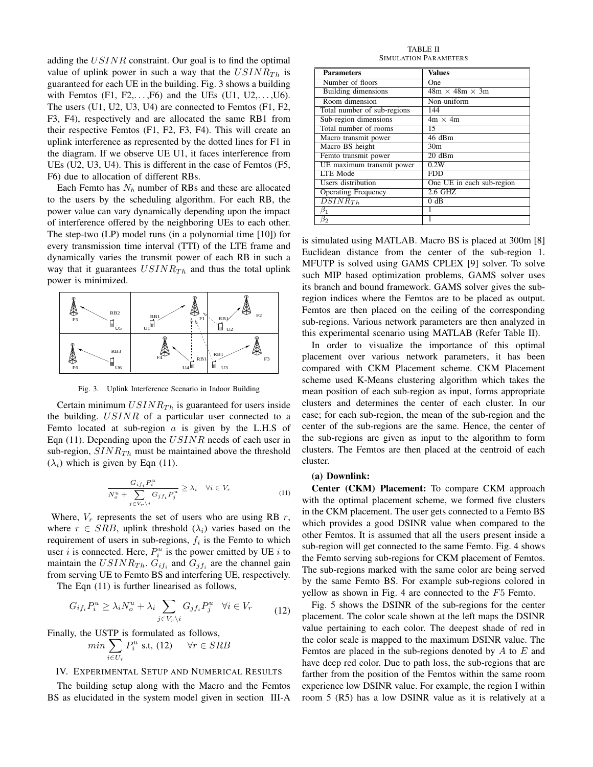adding the  $USINR$  constraint. Our goal is to find the optimal value of uplink power in such a way that the  $USINR_{Th}$  is guaranteed for each UE in the building. Fig. 3 shows a building with Femtos  $(F1, F2, \ldots, F6)$  and the UEs  $(U1, U2, \ldots, U6)$ . The users (U1, U2, U3, U4) are connected to Femtos (F1, F2, F3, F4), respectively and are allocated the same RB1 from their respective Femtos (F1, F2, F3, F4). This will create an uplink interference as represented by the dotted lines for F1 in the diagram. If we observe UE U1, it faces interference from UEs (U2, U3, U4). This is different in the case of Femtos (F5, F6) due to allocation of different RBs.

Each Femto has  $N_b$  number of RBs and these are allocated to the users by the scheduling algorithm. For each RB, the power value can vary dynamically depending upon the impact of interference offered by the neighboring UEs to each other. The step-two (LP) model runs (in a polynomial time [10]) for every transmission time interval (TTI) of the LTE frame and dynamically varies the transmit power of each RB in such a way that it guarantees  $USINR_{Th}$  and thus the total uplink power is minimized.



Fig. 3. Uplink Interference Scenario in Indoor Building

Certain minimum  $USINR_{Th}$  is guaranteed for users inside the building. USINR of a particular user connected to a Femto located at sub-region  $a$  is given by the L.H.S of Eqn (11). Depending upon the  $USINR$  needs of each user in sub-region,  $SINR_{Th}$  must be maintained above the threshold  $(\lambda_i)$  which is given by Eqn (11).

$$
\frac{G_{if_i}P_i^u}{N_o^u + \sum_{j \in V_r \backslash i} G_{jf_i}P_j^u} \ge \lambda_i \quad \forall i \in V_r
$$
\n(11)

Where,  $V_r$  represents the set of users who are using RB  $r$ , where  $r \in SRB$ , uplink threshold  $(\lambda_i)$  varies based on the requirement of users in sub-regions,  $f_i$  is the Femto to which user *i* is connected. Here,  $P_i^u$  is the power emitted by UE *i* to maintain the  $USINR_{Th}$ .  $G_{if_i}$  and  $G_{jf_i}$  are the channel gain from serving UE to Femto BS and interfering UE, respectively.

The Eqn (11) is further linearised as follows,

$$
G_{if_i}P_i^u \ge \lambda_i N_o^u + \lambda_i \sum_{j \in V_r \setminus i} G_{jf_i}P_j^u \quad \forall i \in V_r \tag{12}
$$

Finally, the USTP is formulated as follows,

$$
min \sum_{i \in U_r} P_i^u \text{ s.t, (12)} \quad \forall r \in SRB
$$

## IV. EXPERIMENTAL SETUP AND NUMERICAL RESULTS

The building setup along with the Macro and the Femtos BS as elucidated in the system model given in section III-A

TABLE II SIMULATION PARAMETERS

| <b>Parameters</b>           | <b>Values</b>              |
|-----------------------------|----------------------------|
| Number of floors            | One                        |
| Building dimensions         | $48m \times 48m \times 3m$ |
| Room dimension              | Non-uniform                |
| Total number of sub-regions | 144                        |
| Sub-region dimensions       | $4m \times 4m$             |
| Total number of rooms       | 15                         |
| Macro transmit power        | 46 dBm                     |
| Macro BS height             | 30 <sub>m</sub>            |
| Femto transmit power        | 20dBm                      |
| UE maximum transmit power   | 0.2W                       |
| <b>LTE</b> Mode             | <b>FDD</b>                 |
| Users distribution          | One UE in each sub-region  |
| <b>Operating Frequency</b>  | 2.6 GHZ                    |
| $DSINR_{Th}$                | $0$ dB                     |
| $\beta_1$                   |                            |
| $\beta_2$                   |                            |

is simulated using MATLAB. Macro BS is placed at 300m [8] Euclidean distance from the center of the sub-region 1. MFUTP is solved using GAMS CPLEX [9] solver. To solve such MIP based optimization problems, GAMS solver uses its branch and bound framework. GAMS solver gives the subregion indices where the Femtos are to be placed as output. Femtos are then placed on the ceiling of the corresponding sub-regions. Various network parameters are then analyzed in this experimental scenario using MATLAB (Refer Table II).

In order to visualize the importance of this optimal placement over various network parameters, it has been compared with CKM Placement scheme. CKM Placement scheme used K-Means clustering algorithm which takes the mean position of each sub-region as input, forms appropriate clusters and determines the center of each cluster. In our case; for each sub-region, the mean of the sub-region and the center of the sub-regions are the same. Hence, the center of the sub-regions are given as input to the algorithm to form clusters. The Femtos are then placed at the centroid of each cluster.

## (a) Downlink:

Center (CKM) Placement: To compare CKM approach with the optimal placement scheme, we formed five clusters in the CKM placement. The user gets connected to a Femto BS which provides a good DSINR value when compared to the other Femtos. It is assumed that all the users present inside a sub-region will get connected to the same Femto. Fig. 4 shows the Femto serving sub-regions for CKM placement of Femtos. The sub-regions marked with the same color are being served by the same Femto BS. For example sub-regions colored in yellow as shown in Fig. 4 are connected to the F5 Femto.

Fig. 5 shows the DSINR of the sub-regions for the center placement. The color scale shown at the left maps the DSINR value pertaining to each color. The deepest shade of red in the color scale is mapped to the maximum DSINR value. The Femtos are placed in the sub-regions denoted by  $A$  to  $E$  and have deep red color. Due to path loss, the sub-regions that are farther from the position of the Femtos within the same room experience low DSINR value. For example, the region I within room 5 (R5) has a low DSINR value as it is relatively at a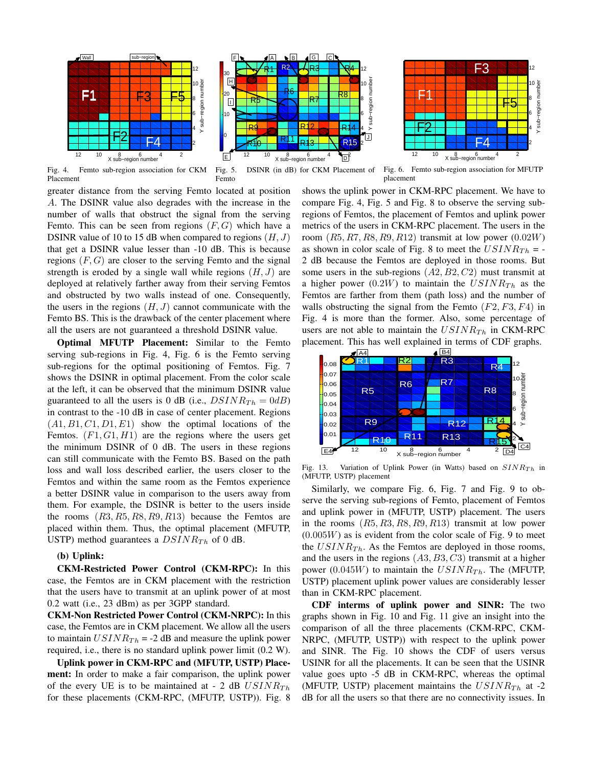

2 4 6 8 م 10 12  $E$  12 10  $8$  6  $4$   $D^2$ Y sub−region number 0 10 20 30  $R9$ R7 $\overline{\phantom{a}}$ R12 L R13 H  $R14$ <sup>4</sup>  $R5$ R10 R11 R6 F BI 41GI LCUR  $F \sim$   $A$   $A$ H I lJ. G R8 R15 R<sup>4</sup> R<sup>2</sup> HR<sup>3</sup> R<sup>4</sup>



Fig. 4. Femto sub-region association for CKM Placement

Fig. 5. DSINR (in dB) for CKM Placement of Femto

Fig. 6. Femto sub-region association for MFUTP placement

greater distance from the serving Femto located at position A. The DSINR value also degrades with the increase in the number of walls that obstruct the signal from the serving Femto. This can be seen from regions  $(F, G)$  which have a DSINR value of 10 to 15 dB when compared to regions  $(H, J)$ that get a DSINR value lesser than -10 dB. This is because regions  $(F, G)$  are closer to the serving Femto and the signal strength is eroded by a single wall while regions  $(H, J)$  are deployed at relatively farther away from their serving Femtos and obstructed by two walls instead of one. Consequently, the users in the regions  $(H, J)$  cannot communicate with the Femto BS. This is the drawback of the center placement where all the users are not guaranteed a threshold DSINR value.

Optimal MFUTP Placement: Similar to the Femto serving sub-regions in Fig. 4, Fig. 6 is the Femto serving sub-regions for the optimal positioning of Femtos. Fig. 7 shows the DSINR in optimal placement. From the color scale at the left, it can be observed that the minimum DSINR value guaranteed to all the users is 0 dB (i.e.,  $DSINR_{Th} = 0dB$ ) in contrast to the -10 dB in case of center placement. Regions  $(A1, B1, C1, D1, E1)$  show the optimal locations of the Femtos.  $(F1, G1, H1)$  are the regions where the users get the minimum DSINR of 0 dB. The users in these regions can still communicate with the Femto BS. Based on the path loss and wall loss described earlier, the users closer to the Femtos and within the same room as the Femtos experience a better DSINR value in comparison to the users away from them. For example, the DSINR is better to the users inside the rooms  $(R3, R5, R8, R9, R13)$  because the Femtos are placed within them. Thus, the optimal placement (MFUTP, USTP) method guarantees a  $DSINR_{Th}$  of 0 dB.

# (b) Uplink:

CKM-Restricted Power Control (CKM-RPC): In this case, the Femtos are in CKM placement with the restriction that the users have to transmit at an uplink power of at most 0.2 watt (i.e., 23 dBm) as per 3GPP standard.

CKM-Non Restricted Power Control (CKM-NRPC): In this case, the Femtos are in CKM placement. We allow all the users to maintain  $USINR_{Th} = -2$  dB and measure the uplink power required, i.e., there is no standard uplink power limit (0.2 W).

Uplink power in CKM-RPC and (MFUTP, USTP) Placement: In order to make a fair comparison, the uplink power of the every UE is to be maintained at - 2 dB  $USINR_{Th}$ for these placements (CKM-RPC, (MFUTP, USTP)). Fig. 8

shows the uplink power in CKM-RPC placement. We have to compare Fig. 4, Fig. 5 and Fig. 8 to observe the serving subregions of Femtos, the placement of Femtos and uplink power metrics of the users in CKM-RPC placement. The users in the room  $(R5, R7, R8, R9, R12)$  transmit at low power  $(0.02W)$ as shown in color scale of Fig. 8 to meet the  $USINR_{Th}$  = -2 dB because the Femtos are deployed in those rooms. But some users in the sub-regions  $(A2, B2, C2)$  must transmit at a higher power (0.2W) to maintain the  $USINR_{Th}$  as the Femtos are farther from them (path loss) and the number of walls obstructing the signal from the Femto  $(F2, F3, F4)$  in Fig. 4 is more than the former. Also, some percentage of users are not able to maintain the  $USINR_{Th}$  in CKM-RPC placement. This has well explained in terms of CDF graphs.



Fig. 13. Variation of Uplink Power (in Watts) based on  $SINR_{Th}$  in (MFUTP, USTP) placement

Similarly, we compare Fig. 6, Fig. 7 and Fig. 9 to observe the serving sub-regions of Femto, placement of Femtos and uplink power in (MFUTP, USTP) placement. The users in the rooms  $(R5, R3, R8, R9, R13)$  transmit at low power  $(0.005W)$  as is evident from the color scale of Fig. 9 to meet the  $USINR_{Th}$ . As the Femtos are deployed in those rooms, and the users in the regions  $(A3, B3, C3)$  transmit at a higher power (0.045W) to maintain the  $USINR_{Th}$ . The (MFUTP, USTP) placement uplink power values are considerably lesser than in CKM-RPC placement.

CDF interms of uplink power and SINR: The two graphs shown in Fig. 10 and Fig. 11 give an insight into the comparison of all the three placements (CKM-RPC, CKM-NRPC, (MFUTP, USTP)) with respect to the uplink power and SINR. The Fig. 10 shows the CDF of users versus USINR for all the placements. It can be seen that the USINR value goes upto -5 dB in CKM-RPC, whereas the optimal (MFUTP, USTP) placement maintains the  $USINR_{Th}$  at -2 dB for all the users so that there are no connectivity issues. In